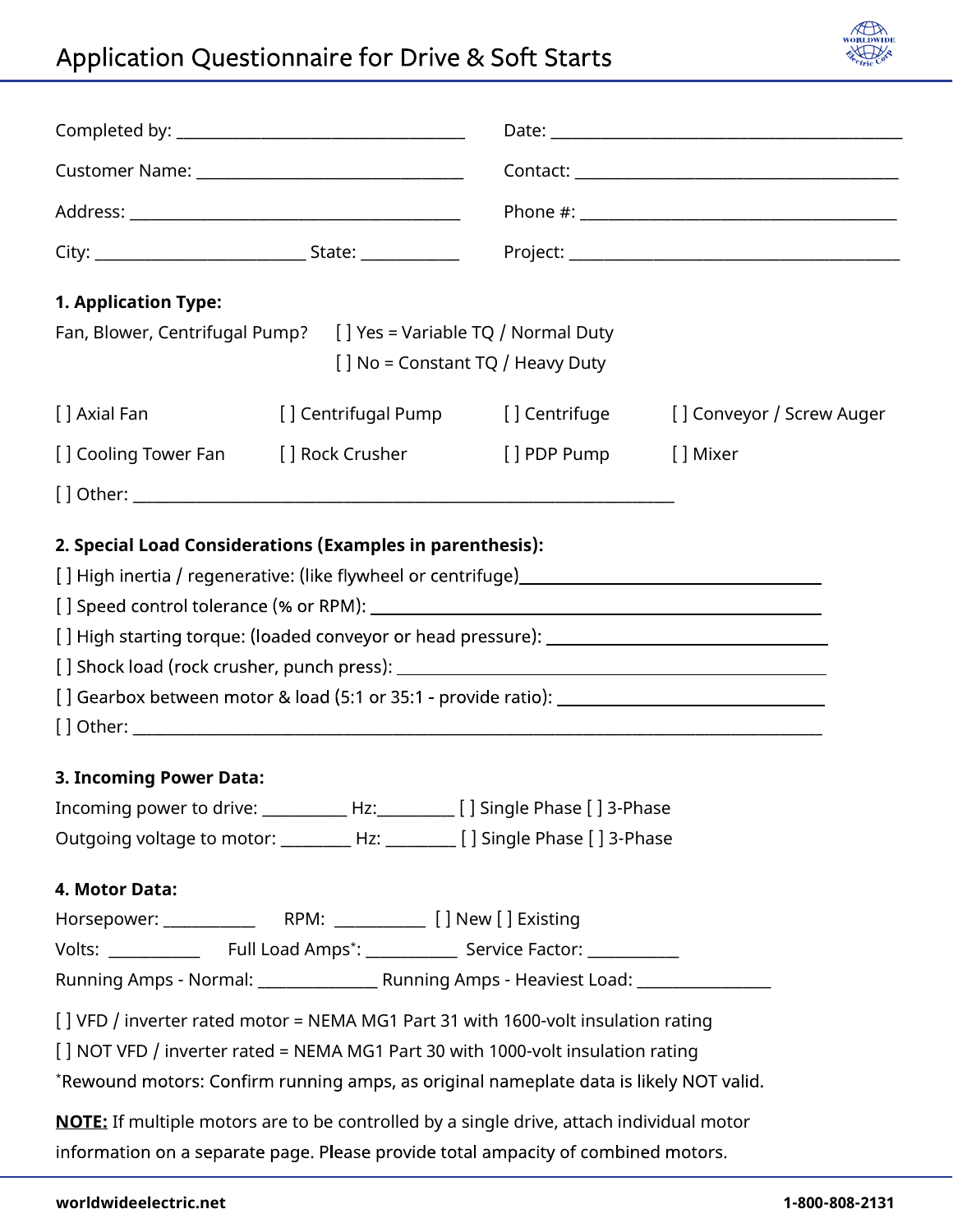## Application Questionnaire for Drive & Soft Starts



| <b>1. Application Type:</b>                                                       |                                                                                                 |                                    |                           |
|-----------------------------------------------------------------------------------|-------------------------------------------------------------------------------------------------|------------------------------------|---------------------------|
| Fan, Blower, Centrifugal Pump?                                                    | [] No = Constant TQ / Heavy Duty                                                                | [] Yes = Variable TQ / Normal Duty |                           |
| [ ] Axial Fan                                                                     | [] Centrifugal Pump                                                                             | [] Centrifuge                      | [] Conveyor / Screw Auger |
| [ ] Cooling Tower Fan                                                             | [ ] Rock Crusher                                                                                | [] PDP Pump                        | [ ] Mixer                 |
|                                                                                   |                                                                                                 |                                    |                           |
|                                                                                   | 2. Special Load Considerations (Examples in parenthesis):                                       |                                    |                           |
|                                                                                   |                                                                                                 |                                    |                           |
|                                                                                   | [] High starting torque: (loaded conveyor or head pressure): ____________________               |                                    |                           |
|                                                                                   |                                                                                                 |                                    |                           |
|                                                                                   |                                                                                                 |                                    |                           |
|                                                                                   |                                                                                                 |                                    |                           |
| 3. Incoming Power Data:                                                           |                                                                                                 |                                    |                           |
| Incoming power to drive: ____________ Hz: __________ [ ] Single Phase [ ] 3-Phase |                                                                                                 |                                    |                           |
|                                                                                   |                                                                                                 |                                    |                           |
| 4. Motor Data:                                                                    |                                                                                                 |                                    |                           |
|                                                                                   |                                                                                                 |                                    |                           |
|                                                                                   |                                                                                                 |                                    |                           |
|                                                                                   |                                                                                                 |                                    |                           |
|                                                                                   | [] VFD / inverter rated motor = NEMA MG1 Part 31 with 1600-volt insulation rating               |                                    |                           |
|                                                                                   | [] NOT VFD / inverter rated = NEMA MG1 Part 30 with 1000-volt insulation rating                 |                                    |                           |
|                                                                                   | *Rewound motors: Confirm running amps, as original nameplate data is likely NOT valid.          |                                    |                           |
|                                                                                   | <b>NOTE:</b> If multiple motors are to be controlled by a single drive, attach individual motor |                                    |                           |
|                                                                                   | information on a separate page. Please provide total ampacity of combined motors.               |                                    |                           |
|                                                                                   |                                                                                                 |                                    |                           |